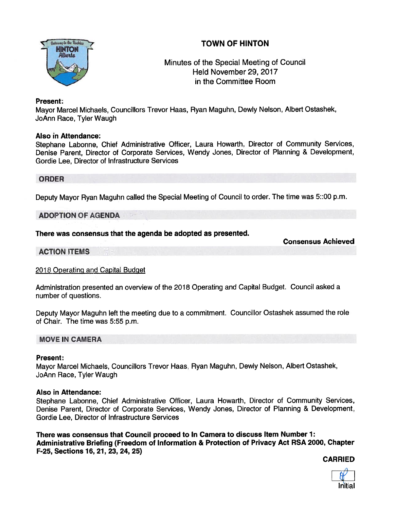# TOWN OF HINTON



# Minutes of the Special Meeting of Council Held November 29, 2017 in the Committee Room

## Present:

Mayor Marcel Michaels, Councillors Trevor Haas, Ryan Maguhn, Dewly Nelson, Albert Ostashek, JoAnn Race, Tyler Waugh

### Also in Attendance:

Stephane Labonne, Chief Administrative Officer, Laura Howarth, Director of Community Services, Denise Parent, Director of Corporate Services, Wendy Jones, Director of Planning & Development, Gordie Lee, Director of Infrastructure Services

### ORDER

Deputy Mayor Ryan Maguhn called the Special Meeting of Council to order. The time was 5::00 p.m.

### **ADOPTION OF AGENDA**

# There was consensus that the agenda be adopted as presented.

Consensus Achieved

# **ACTION ITEMS**

2018 Operating and Capital Budget

Administration presented an overview of the <sup>2018</sup> Operating and Capital Budget. Council asked <sup>a</sup> number of questions.

Deputy Mayor Maguhn left the meeting due to <sup>a</sup> commitment. Councillor Ostashek assumed the role of Chair. The time was 5:55 p.m.

# MOVE IN CAMERA

#### Present:

Mayor Marcel Michaels, Councillors Trevor Haas, Ryan Maguhn, Dewly Nelson, Albert Ostashek, JoAnn Race, Tyler Waugh

# Also in Attendance:

Stephane Labonne, Chief Administrative Officer, Laura Howarth, Director of Community Services, Denise Parent, Director of Corporate Services, Wendy Jones, Director of Planning & Development. Gordie Lee, Director of Infrastructure Services

There was consensus that Council proceed to In Camera to discuss Item Number 1: Administrative Briefing (Freedom of Information & Protection of Privacy Act RSA 2000, Chapter F-25, Sections 16, 21, 23, 24, 25)

CARRIED